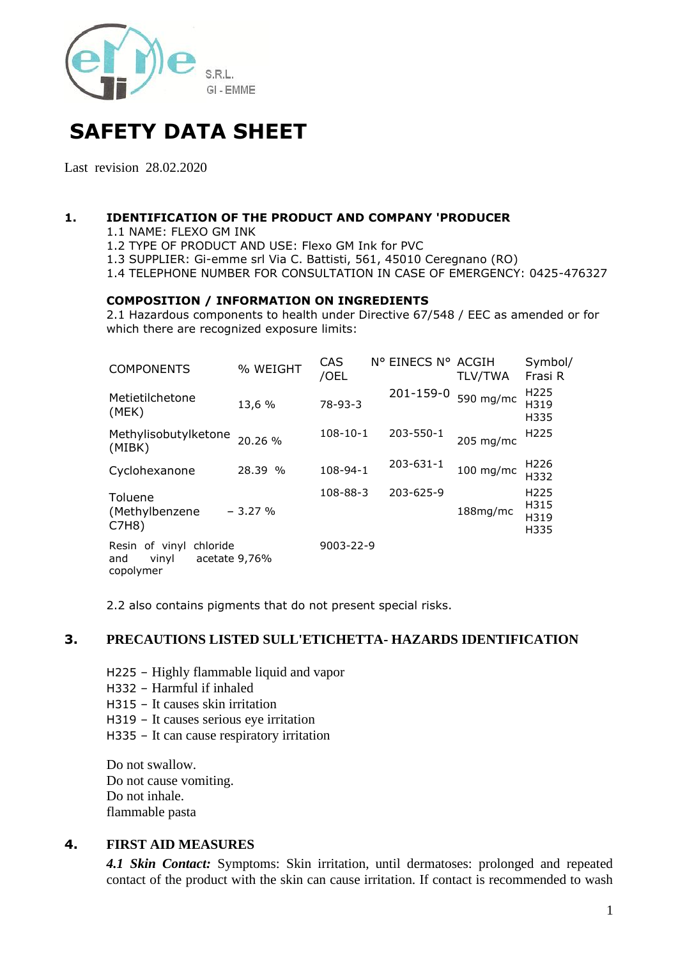

# **SAFETY DATA SHEET**

Last revision 28.02.2020

#### **1. IDENTIFICATION OF THE PRODUCT AND COMPANY 'PRODUCER**

1.1 NAME: FLEXO GM INK

1.2 TYPE OF PRODUCT AND USE: Flexo GM Ink for PVC

1.3 SUPPLIER: Gi-emme srl Via C. Battisti, 561, 45010 Ceregnano (RO)

1.4 TELEPHONE NUMBER FOR CONSULTATION IN CASE OF EMERGENCY: 0425-476327

#### **COMPOSITION / INFORMATION ON INGREDIENTS**

2.1 Hazardous components to health under Directive 67/548 / EEC as amended or for which there are recognized exposure limits:

| <b>COMPONENTS</b>                                       | % WEIGHT      | CAS<br>/OEL    | N° EINECS N° ACGIH | <b>TLV/TWA</b> | Symbol/<br>Frasi R                       |
|---------------------------------------------------------|---------------|----------------|--------------------|----------------|------------------------------------------|
| Metietilchetone<br>(MEK)                                | 13,6 %        | 78-93-3        | 201-159-0          | 590 mg/mc      | H <sub>225</sub><br>H319<br>H335         |
| Methylisobutylketone<br>(MIBK)                          | 20.26 %       | $108 - 10 - 1$ | 203-550-1          | 205 mg/mc      | H <sub>225</sub>                         |
| Cyclohexanone                                           | 28.39 %       | 108-94-1       | 203-631-1          | $100$ mg/mc    | H226<br>H332                             |
| Toluene<br>(Methylbenzene<br>C7H8)                      | $-3.27%$      | 108-88-3       | 203-625-9          | 188mg/mc       | H <sub>225</sub><br>H315<br>H319<br>H335 |
| Resin of vinyl<br>chloride<br>vinyl<br>and<br>copolymer | acetate 9,76% | 9003-22-9      |                    |                |                                          |

2.2 also contains pigments that do not present special risks.

#### **3. PRECAUTIONS LISTED SULL'ETICHETTA- HAZARDS IDENTIFICATION**

- H225 Highly flammable liquid and vapor
- H332 Harmful if inhaled
- H315 It causes skin irritation
- H319 It causes serious eye irritation
- H335 It can cause respiratory irritation

Do not swallow. Do not cause vomiting. Do not inhale. flammable pasta

#### **4. FIRST AID MEASURES**

*4.1 Skin Contact:* Symptoms: Skin irritation, until dermatoses: prolonged and repeated contact of the product with the skin can cause irritation. If contact is recommended to wash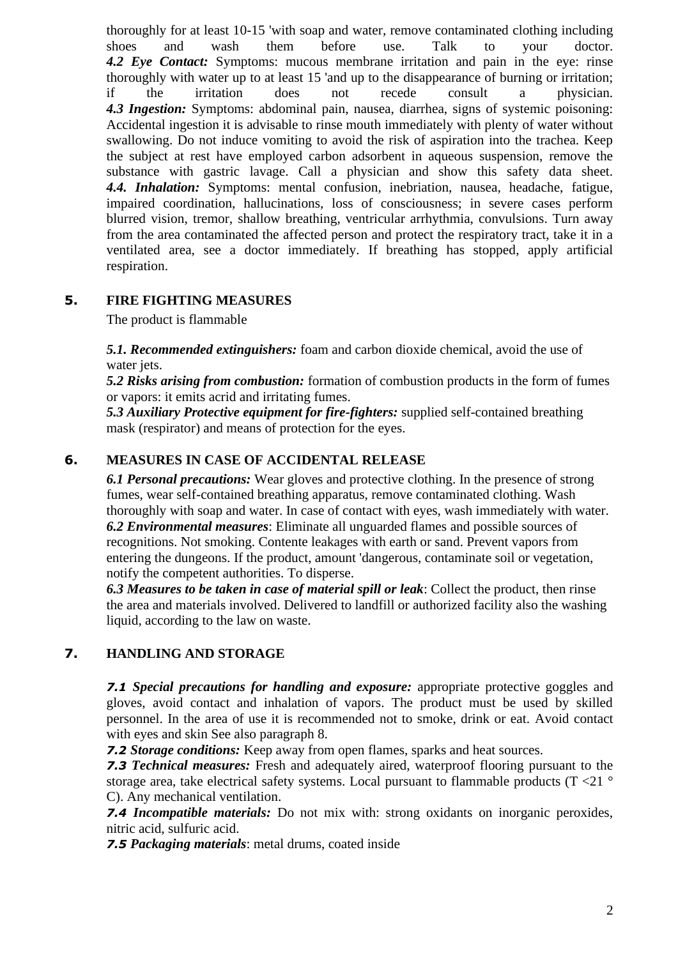thoroughly for at least 10-15 'with soap and water, remove contaminated clothing including shoes and wash them before use. Talk to your doctor. *4.2 Eye Contact:* Symptoms: mucous membrane irritation and pain in the eye: rinse thoroughly with water up to at least 15 'and up to the disappearance of burning or irritation; if the irritation does not recede consult a physician. *4.3 Ingestion:* Symptoms: abdominal pain, nausea, diarrhea, signs of systemic poisoning: Accidental ingestion it is advisable to rinse mouth immediately with plenty of water without swallowing. Do not induce vomiting to avoid the risk of aspiration into the trachea. Keep the subject at rest have employed carbon adsorbent in aqueous suspension, remove the substance with gastric lavage. Call a physician and show this safety data sheet. *4.4. Inhalation:* Symptoms: mental confusion, inebriation, nausea, headache, fatigue, impaired coordination, hallucinations, loss of consciousness; in severe cases perform blurred vision, tremor, shallow breathing, ventricular arrhythmia, convulsions. Turn away from the area contaminated the affected person and protect the respiratory tract, take it in a ventilated area, see a doctor immediately. If breathing has stopped, apply artificial respiration.

# **5. FIRE FIGHTING MEASURES**

The product is flammable

*5.1. Recommended extinguishers:* foam and carbon dioxide chemical, avoid the use of water jets.

*5.2 Risks arising from combustion:* formation of combustion products in the form of fumes or vapors: it emits acrid and irritating fumes.

*5.3 Auxiliary Protective equipment for fire-fighters:* supplied self-contained breathing mask (respirator) and means of protection for the eyes.

# **6. MEASURES IN CASE OF ACCIDENTAL RELEASE**

*6.1 Personal precautions:* Wear gloves and protective clothing. In the presence of strong fumes, wear self-contained breathing apparatus, remove contaminated clothing. Wash thoroughly with soap and water. In case of contact with eyes, wash immediately with water. *6.2 Environmental measures*: Eliminate all unguarded flames and possible sources of recognitions. Not smoking. Contente leakages with earth or sand. Prevent vapors from entering the dungeons. If the product, amount 'dangerous, contaminate soil or vegetation, notify the competent authorities. To disperse.

*6.3 Measures to be taken in case of material spill or leak*: Collect the product, then rinse the area and materials involved. Delivered to landfill or authorized facility also the washing liquid, according to the law on waste.

# **7. HANDLING AND STORAGE**

*7.1 Special precautions for handling and exposure:* appropriate protective goggles and gloves, avoid contact and inhalation of vapors. The product must be used by skilled personnel. In the area of use it is recommended not to smoke, drink or eat. Avoid contact with eyes and skin See also paragraph 8.

*7.2 Storage conditions:* Keep away from open flames, sparks and heat sources.

*7.3 Technical measures:* Fresh and adequately aired, waterproof flooring pursuant to the storage area, take electrical safety systems. Local pursuant to flammable products ( $T < 21$ ° C). Any mechanical ventilation.

*7.4 Incompatible materials:* Do not mix with: strong oxidants on inorganic peroxides, nitric acid, sulfuric acid.

*7.5 Packaging materials*: metal drums, coated inside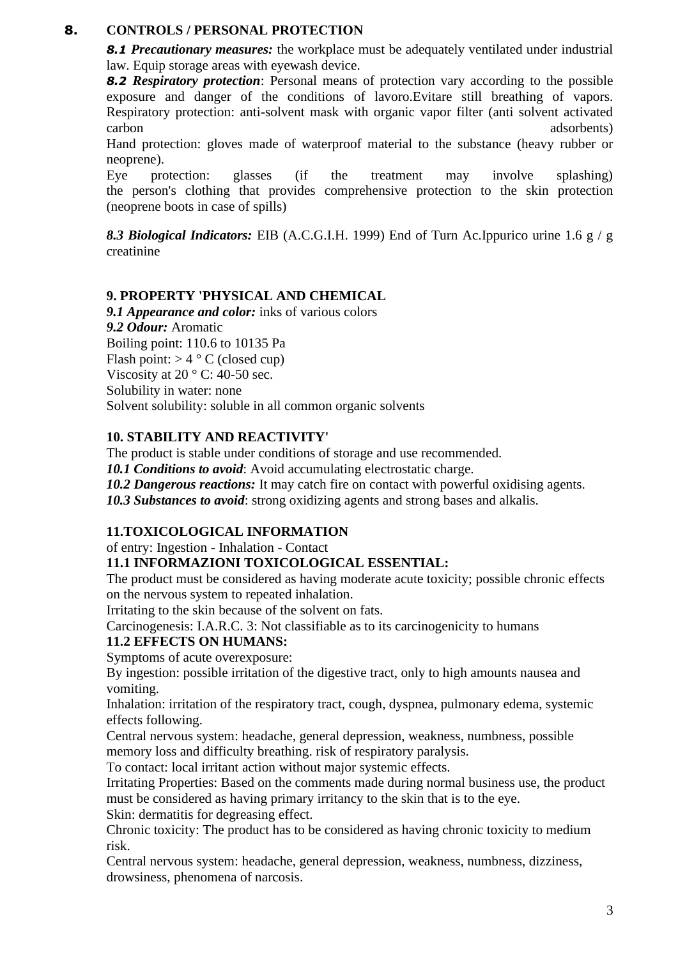# **8. CONTROLS / PERSONAL PROTECTION**

**8.1 Precautionary measures:** the workplace must be adequately ventilated under industrial law. Equip storage areas with eyewash device.

*8.2 Respiratory protection*: Personal means of protection vary according to the possible exposure and danger of the conditions of lavoro.Evitare still breathing of vapors. Respiratory protection: anti-solvent mask with organic vapor filter (anti solvent activated carbon adsorbents) and the contract of the contract of the contract of the contract of the contract of the contract of the contract of the contract of the contract of the contract of the contract of the contract of the con

Hand protection: gloves made of waterproof material to the substance (heavy rubber or neoprene).

Eye protection: glasses (if the treatment may involve splashing) the person's clothing that provides comprehensive protection to the skin protection (neoprene boots in case of spills)

*8.3 Biological Indicators:* EIB (A.C.G.I.H. 1999) End of Turn Ac.Ippurico urine 1.6 g / g creatinine

## **9. PROPERTY 'PHYSICAL AND CHEMICAL**

*9.1 Appearance and color:* inks of various colors *9.2 Odour:* Aromatic Boiling point: 110.6 to 10135 Pa Flash point:  $> 4 \degree$  C (closed cup) Viscosity at  $20^{\circ}$  C: 40-50 sec. Solubility in water: none Solvent solubility: soluble in all common organic solvents

#### **10. STABILITY AND REACTIVITY'**

The product is stable under conditions of storage and use recommended.

*10.1 Conditions to avoid*: Avoid accumulating electrostatic charge.

*10.2 Dangerous reactions:* It may catch fire on contact with powerful oxidising agents.

*10.3 Substances to avoid*: strong oxidizing agents and strong bases and alkalis.

## **11.TOXICOLOGICAL INFORMATION**

of entry: Ingestion - Inhalation - Contact

## **11.1 INFORMAZIONI TOXICOLOGICAL ESSENTIAL:**

The product must be considered as having moderate acute toxicity; possible chronic effects on the nervous system to repeated inhalation.

Irritating to the skin because of the solvent on fats.

Carcinogenesis: I.A.R.C. 3: Not classifiable as to its carcinogenicity to humans **11.2 EFFECTS ON HUMANS:**

Symptoms of acute overexposure:

By ingestion: possible irritation of the digestive tract, only to high amounts nausea and vomiting.

Inhalation: irritation of the respiratory tract, cough, dyspnea, pulmonary edema, systemic effects following.

Central nervous system: headache, general depression, weakness, numbness, possible memory loss and difficulty breathing. risk of respiratory paralysis.

To contact: local irritant action without major systemic effects.

Irritating Properties: Based on the comments made during normal business use, the product must be considered as having primary irritancy to the skin that is to the eye.

Skin: dermatitis for degreasing effect.

Chronic toxicity: The product has to be considered as having chronic toxicity to medium risk.

Central nervous system: headache, general depression, weakness, numbness, dizziness, drowsiness, phenomena of narcosis.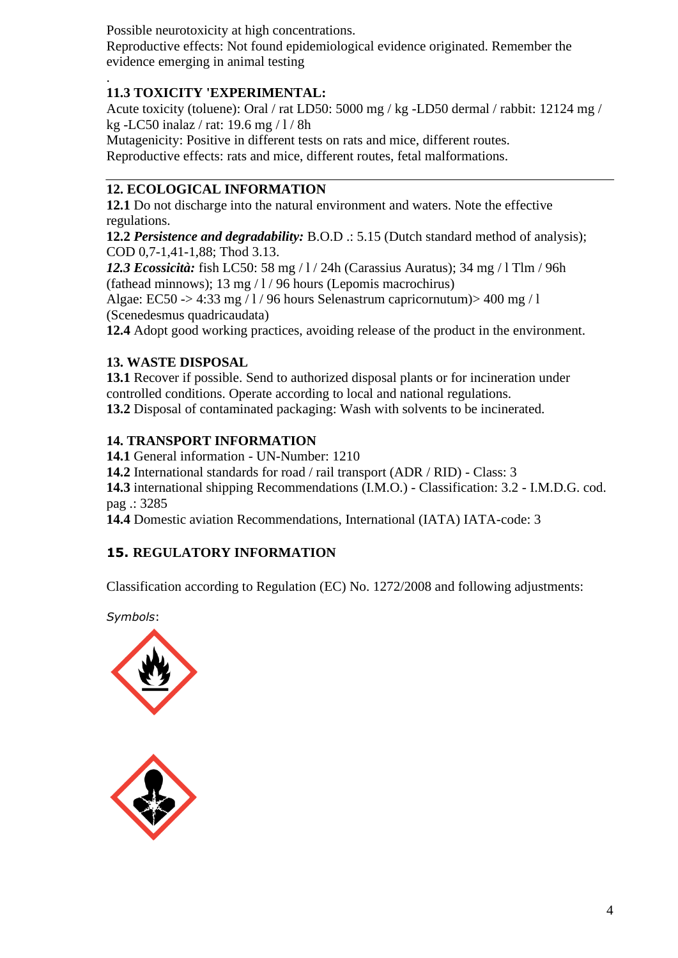Possible neurotoxicity at high concentrations. Reproductive effects: Not found epidemiological evidence originated. Remember the evidence emerging in animal testing

#### . **11.3 TOXICITY 'EXPERIMENTAL:**

Acute toxicity (toluene): Oral / rat LD50: 5000 mg / kg -LD50 dermal / rabbit: 12124 mg / kg -LC50 inalaz / rat: 19.6 mg / l / 8h

Mutagenicity: Positive in different tests on rats and mice, different routes. Reproductive effects: rats and mice, different routes, fetal malformations.

# **12. ECOLOGICAL INFORMATION**

**12.1** Do not discharge into the natural environment and waters. Note the effective regulations.

**12.2** *Persistence and degradability:* B.O.D .: 5.15 (Dutch standard method of analysis); COD 0,7-1,41-1,88; Thod 3.13.

*12.3 Ecossicità:* fish LC50: 58 mg / l / 24h (Carassius Auratus); 34 mg / l Tlm / 96h (fathead minnows); 13 mg / l / 96 hours (Lepomis macrochirus)

Algae: EC50 -> 4:33 mg  $\frac{1}{96}$  hours Selenastrum capricornutum) > 400 mg  $\frac{1}{16}$ (Scenedesmus quadricaudata)

**12.4** Adopt good working practices, avoiding release of the product in the environment.

## **13. WASTE DISPOSAL**

**13.1** Recover if possible. Send to authorized disposal plants or for incineration under controlled conditions. Operate according to local and national regulations. **13.2** Disposal of contaminated packaging: Wash with solvents to be incinerated.

## **14. TRANSPORT INFORMATION**

**14.1** General information - UN-Number: 1210

**14.2** International standards for road / rail transport (ADR / RID) - Class: 3

**14.3** international shipping Recommendations (I.M.O.) - Classification: 3.2 - I.M.D.G. cod. pag .: 3285

**14.4** Domestic aviation Recommendations, International (IATA) IATA-code: 3

# **15. REGULATORY INFORMATION**

Classification according to Regulation (EC) No. 1272/2008 and following adjustments:

*Symbols*: